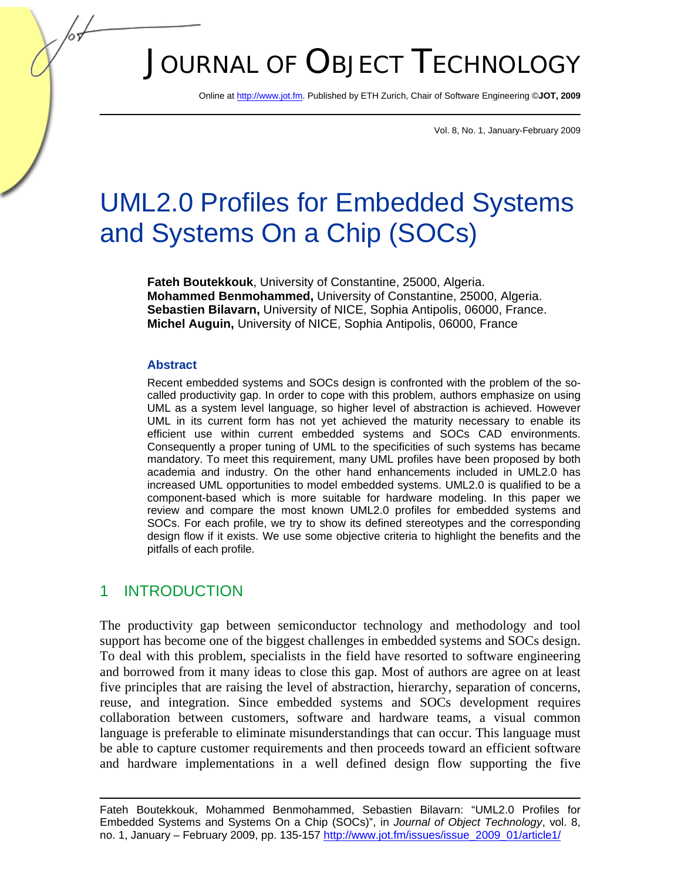# JOURNAL OF OBJECT TECHNOLOGY

Online at http://www.jot.fm. Published by ETH Zurich, Chair of Software Engineering ©**JOT, 2009** 

Vol. 8, No. 1, January-February 2009

## UML2.0 Profiles for Embedded Systems and Systems On a Chip (SOCs)

**Fateh Boutekkouk**, University of Constantine, 25000, Algeria. **Mohammed Benmohammed,** University of Constantine, 25000, Algeria. **Sebastien Bilavarn,** University of NICE, Sophia Antipolis, 06000, France. **Michel Auguin,** University of NICE, Sophia Antipolis, 06000, France

#### **Abstract**

Recent embedded systems and SOCs design is confronted with the problem of the socalled productivity gap. In order to cope with this problem, authors emphasize on using UML as a system level language, so higher level of abstraction is achieved. However UML in its current form has not yet achieved the maturity necessary to enable its efficient use within current embedded systems and SOCs CAD environments. Consequently a proper tuning of UML to the specificities of such systems has became mandatory. To meet this requirement, many UML profiles have been proposed by both academia and industry. On the other hand enhancements included in UML2.0 has increased UML opportunities to model embedded systems. UML2.0 is qualified to be a component-based which is more suitable for hardware modeling. In this paper we review and compare the most known UML2.0 profiles for embedded systems and SOCs. For each profile, we try to show its defined stereotypes and the corresponding design flow if it exists. We use some objective criteria to highlight the benefits and the pitfalls of each profile.

## 1 INTRODUCTION

The productivity gap between semiconductor technology and methodology and tool support has become one of the biggest challenges in embedded systems and SOCs design. To deal with this problem, specialists in the field have resorted to software engineering and borrowed from it many ideas to close this gap. Most of authors are agree on at least five principles that are raising the level of abstraction, hierarchy, separation of concerns, reuse, and integration. Since embedded systems and SOCs development requires collaboration between customers, software and hardware teams, a visual common language is preferable to eliminate misunderstandings that can occur. This language must be able to capture customer requirements and then proceeds toward an efficient software and hardware implementations in a well defined design flow supporting the five

Fateh Boutekkouk, Mohammed Benmohammed, Sebastien Bilavarn: "UML2.0 Profiles for Embedded Systems and Systems On a Chip (SOCs)", in *Journal of Object Technology*, vol. 8, no. 1, January – February 2009, pp. 135-157 http://www.jot.fm/issues/issue\_2009\_01/article1/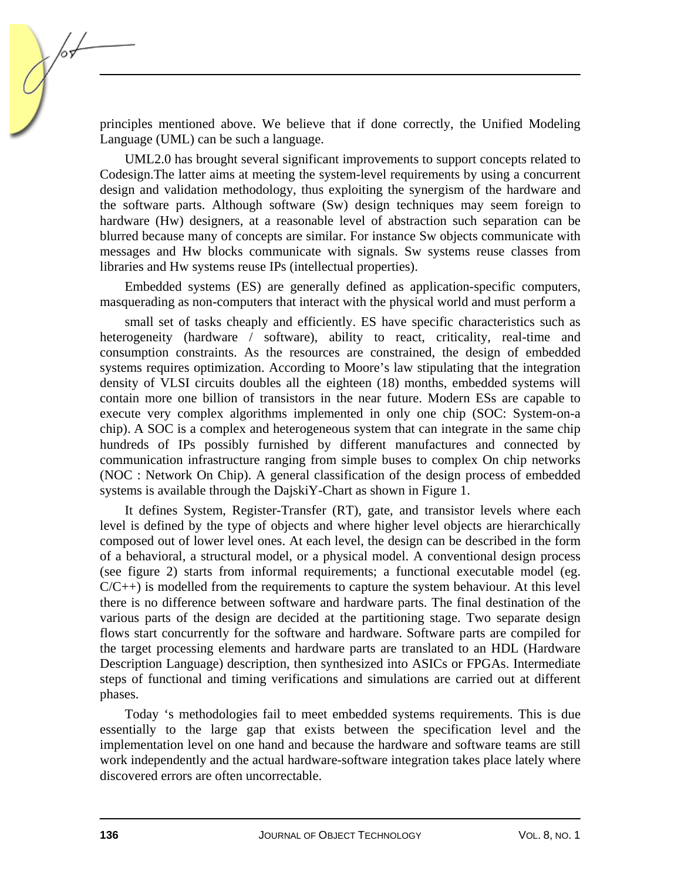principles mentioned above. We believe that if done correctly, the Unified Modeling Language (UML) can be such a language.

UML2.0 has brought several significant improvements to support concepts related to Codesign.The latter aims at meeting the system-level requirements by using a concurrent design and validation methodology, thus exploiting the synergism of the hardware and the software parts. Although software (Sw) design techniques may seem foreign to hardware (Hw) designers, at a reasonable level of abstraction such separation can be blurred because many of concepts are similar. For instance Sw objects communicate with messages and Hw blocks communicate with signals. Sw systems reuse classes from libraries and Hw systems reuse IPs (intellectual properties).

Embedded systems (ES) are generally defined as application-specific computers, masquerading as non-computers that interact with the physical world and must perform a

small set of tasks cheaply and efficiently. ES have specific characteristics such as heterogeneity (hardware / software), ability to react, criticality, real-time and consumption constraints. As the resources are constrained, the design of embedded systems requires optimization. According to Moore's law stipulating that the integration density of VLSI circuits doubles all the eighteen (18) months, embedded systems will contain more one billion of transistors in the near future. Modern ESs are capable to execute very complex algorithms implemented in only one chip (SOC: System-on-a chip). A SOC is a complex and heterogeneous system that can integrate in the same chip hundreds of IPs possibly furnished by different manufactures and connected by communication infrastructure ranging from simple buses to complex On chip networks (NOC : Network On Chip). A general classification of the design process of embedded systems is available through the DajskiY-Chart as shown in Figure 1.

It defines System, Register-Transfer (RT), gate, and transistor levels where each level is defined by the type of objects and where higher level objects are hierarchically composed out of lower level ones. At each level, the design can be described in the form of a behavioral, a structural model, or a physical model. A conventional design process (see figure 2) starts from informal requirements; a functional executable model (eg.  $C/C++$ ) is modelled from the requirements to capture the system behaviour. At this level there is no difference between software and hardware parts. The final destination of the various parts of the design are decided at the partitioning stage. Two separate design flows start concurrently for the software and hardware. Software parts are compiled for the target processing elements and hardware parts are translated to an HDL (Hardware Description Language) description, then synthesized into ASICs or FPGAs. Intermediate steps of functional and timing verifications and simulations are carried out at different phases.

Today 's methodologies fail to meet embedded systems requirements. This is due essentially to the large gap that exists between the specification level and the implementation level on one hand and because the hardware and software teams are still work independently and the actual hardware-software integration takes place lately where discovered errors are often uncorrectable.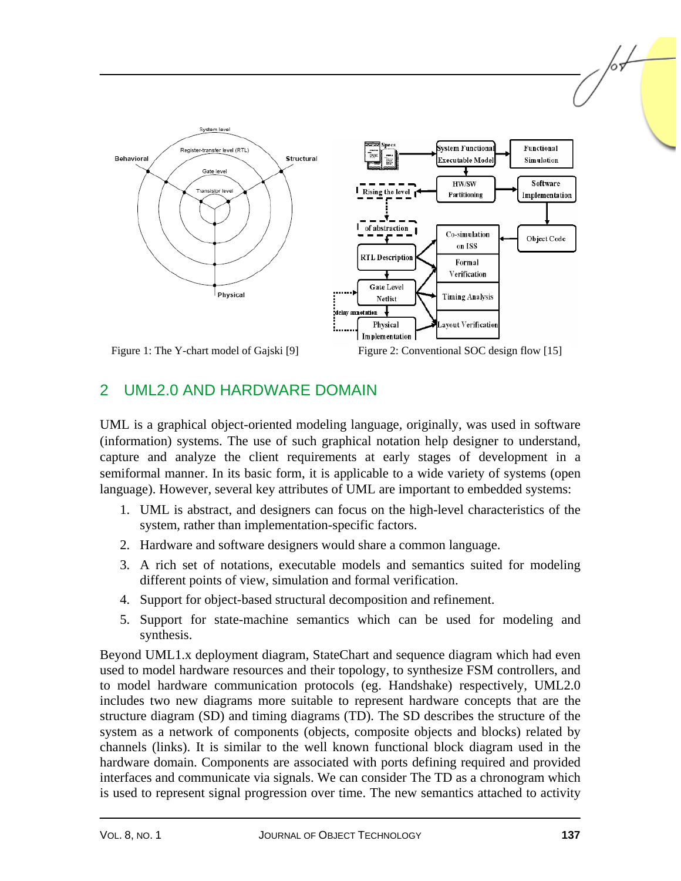

## 2 UML2.0 AND HARDWARE DOMAIN

UML is a graphical object-oriented modeling language, originally, was used in software (information) systems. The use of such graphical notation help designer to understand, capture and analyze the client requirements at early stages of development in a semiformal manner. In its basic form, it is applicable to a wide variety of systems (open language). However, several key attributes of UML are important to embedded systems:

- 1. UML is abstract, and designers can focus on the high-level characteristics of the system, rather than implementation-specific factors.
- 2. Hardware and software designers would share a common language.
- 3. A rich set of notations, executable models and semantics suited for modeling different points of view, simulation and formal verification.
- 4. Support for object-based structural decomposition and refinement.
- 5. Support for state-machine semantics which can be used for modeling and synthesis.

Beyond UML1.x deployment diagram, StateChart and sequence diagram which had even used to model hardware resources and their topology, to synthesize FSM controllers, and to model hardware communication protocols (eg. Handshake) respectively, UML2.0 includes two new diagrams more suitable to represent hardware concepts that are the structure diagram (SD) and timing diagrams (TD). The SD describes the structure of the system as a network of components (objects, composite objects and blocks) related by channels (links). It is similar to the well known functional block diagram used in the hardware domain. Components are associated with ports defining required and provided interfaces and communicate via signals. We can consider The TD as a chronogram which is used to represent signal progression over time. The new semantics attached to activity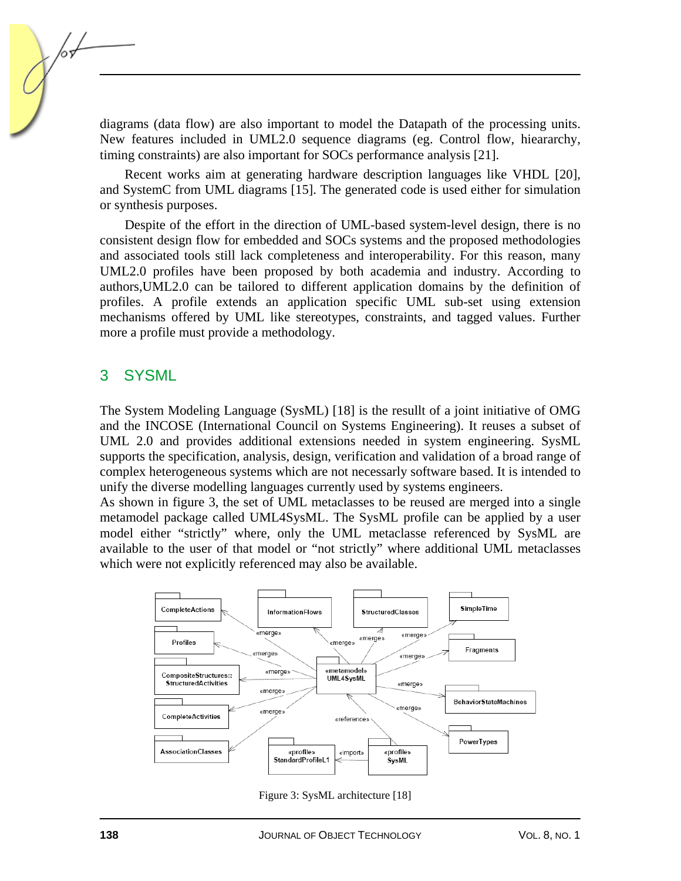diagrams (data flow) are also important to model the Datapath of the processing units. New features included in UML2.0 sequence diagrams (eg. Control flow, hieararchy, timing constraints) are also important for SOCs performance analysis [21].

Recent works aim at generating hardware description languages like VHDL [20], and SystemC from UML diagrams [15]. The generated code is used either for simulation or synthesis purposes.

Despite of the effort in the direction of UML-based system-level design, there is no consistent design flow for embedded and SOCs systems and the proposed methodologies and associated tools still lack completeness and interoperability. For this reason, many UML2.0 profiles have been proposed by both academia and industry. According to authors,UML2.0 can be tailored to different application domains by the definition of profiles. A profile extends an application specific UML sub-set using extension mechanisms offered by UML like stereotypes, constraints, and tagged values. Further more a profile must provide a methodology.

#### 3 SYSML

The System Modeling Language (SysML) [18] is the resullt of a joint initiative of OMG and the INCOSE (International Council on Systems Engineering). It reuses a subset of UML 2.0 and provides additional extensions needed in system engineering. SysML supports the specification, analysis, design, verification and validation of a broad range of complex heterogeneous systems which are not necessarly software based. It is intended to unify the diverse modelling languages currently used by systems engineers.

As shown in figure 3, the set of UML metaclasses to be reused are merged into a single metamodel package called UML4SysML. The SysML profile can be applied by a user model either "strictly" where, only the UML metaclasse referenced by SysML are available to the user of that model or "not strictly" where additional UML metaclasses which were not explicitly referenced may also be available.



Figure 3: SysML architecture [18]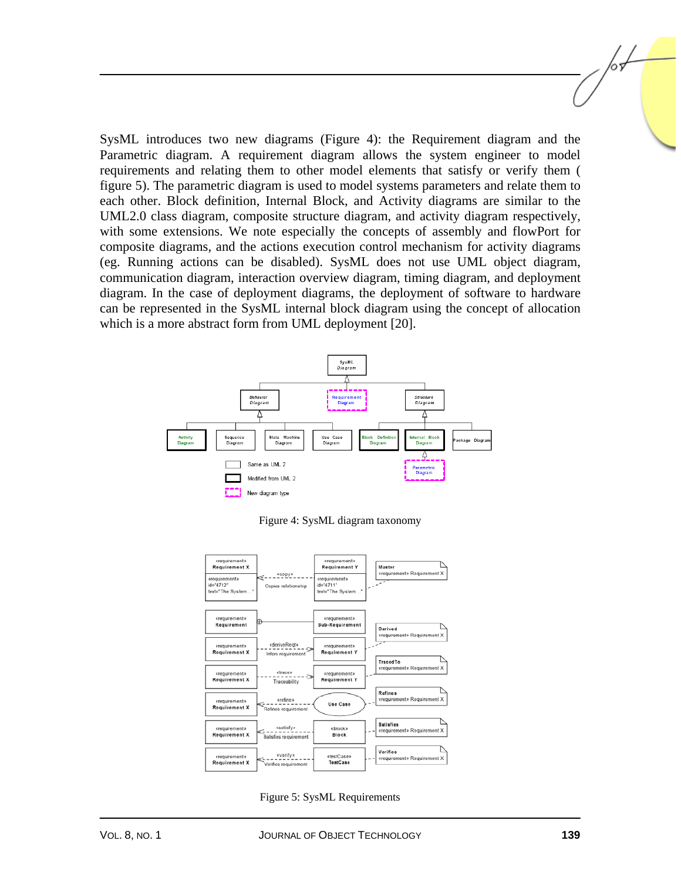SysML introduces two new diagrams (Figure 4): the Requirement diagram and the Parametric diagram. A requirement diagram allows the system engineer to model requirements and relating them to other model elements that satisfy or verify them ( figure 5). The parametric diagram is used to model systems parameters and relate them to each other. Block definition, Internal Block, and Activity diagrams are similar to the UML2.0 class diagram, composite structure diagram, and activity diagram respectively, with some extensions. We note especially the concepts of assembly and flowPort for composite diagrams, and the actions execution control mechanism for activity diagrams (eg. Running actions can be disabled). SysML does not use UML object diagram, communication diagram, interaction overview diagram, timing diagram, and deployment diagram. In the case of deployment diagrams, the deployment of software to hardware can be represented in the SysML internal block diagram using the concept of allocation which is a more abstract form from UML deployment [20].



Figure 4: SysML diagram taxonomy



Figure 5: SysML Requirements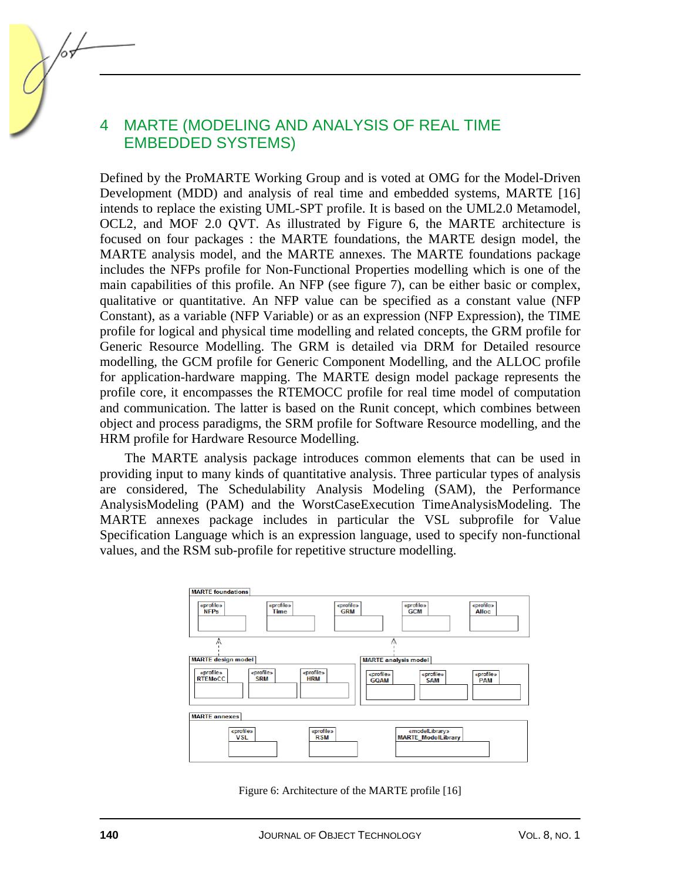## 4 MARTE (MODELING AND ANALYSIS OF REAL TIME EMBEDDED SYSTEMS)

Defined by the ProMARTE Working Group and is voted at OMG for the Model-Driven Development (MDD) and analysis of real time and embedded systems, MARTE [16] intends to replace the existing UML-SPT profile. It is based on the UML2.0 Metamodel, OCL2, and MOF 2.0 QVT. As illustrated by Figure 6, the MARTE architecture is focused on four packages : the MARTE foundations, the MARTE design model, the MARTE analysis model, and the MARTE annexes. The MARTE foundations package includes the NFPs profile for Non-Functional Properties modelling which is one of the main capabilities of this profile. An NFP (see figure 7), can be either basic or complex, qualitative or quantitative. An NFP value can be specified as a constant value (NFP Constant), as a variable (NFP Variable) or as an expression (NFP Expression), the TIME profile for logical and physical time modelling and related concepts, the GRM profile for Generic Resource Modelling. The GRM is detailed via DRM for Detailed resource modelling, the GCM profile for Generic Component Modelling, and the ALLOC profile for application-hardware mapping. The MARTE design model package represents the profile core, it encompasses the RTEMOCC profile for real time model of computation and communication. The latter is based on the Runit concept, which combines between object and process paradigms, the SRM profile for Software Resource modelling, and the HRM profile for Hardware Resource Modelling.

The MARTE analysis package introduces common elements that can be used in providing input to many kinds of quantitative analysis. Three particular types of analysis are considered, The Schedulability Analysis Modeling (SAM), the Performance AnalysisModeling (PAM) and the WorstCaseExecution TimeAnalysisModeling. The MARTE annexes package includes in particular the VSL subprofile for Value Specification Language which is an expression language, used to specify non-functional values, and the RSM sub-profile for repetitive structure modelling.



Figure 6: Architecture of the MARTE profile [16]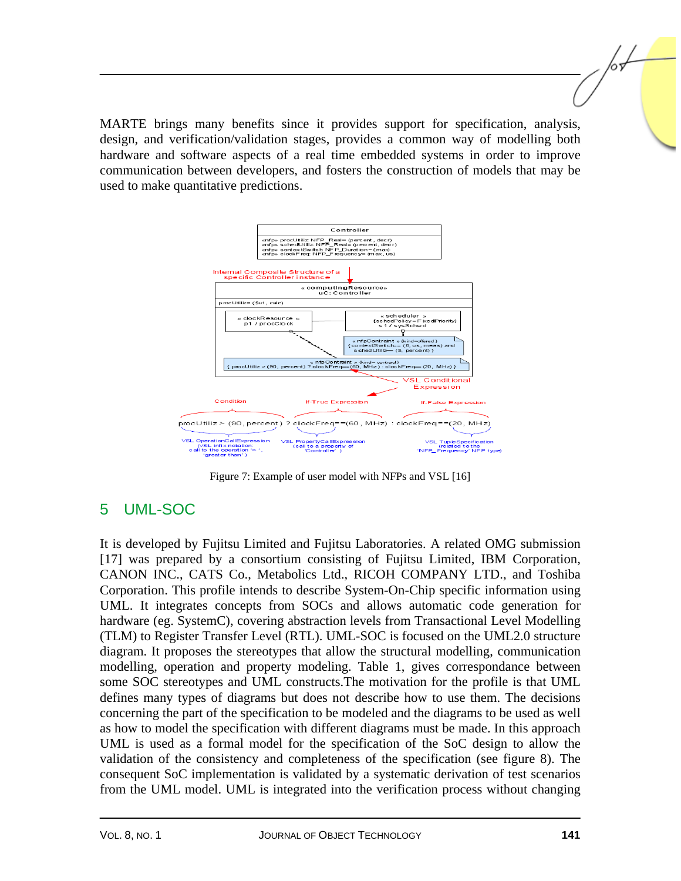MARTE brings many benefits since it provides support for specification, analysis, design, and verification/validation stages, provides a common way of modelling both hardware and software aspects of a real time embedded systems in order to improve communication between developers, and fosters the construction of models that may be used to make quantitative predictions.



Figure 7: Example of user model with NFPs and VSL [16]

## 5 UML-SOC

It is developed by Fujitsu Limited and Fujitsu Laboratories. A related OMG submission [17] was prepared by a consortium consisting of Fujitsu Limited, IBM Corporation, CANON INC., CATS Co., Metabolics Ltd., RICOH COMPANY LTD., and Toshiba Corporation. This profile intends to describe System-On-Chip specific information using UML. It integrates concepts from SOCs and allows automatic code generation for hardware (eg. SystemC), covering abstraction levels from Transactional Level Modelling (TLM) to Register Transfer Level (RTL). UML-SOC is focused on the UML2.0 structure diagram. It proposes the stereotypes that allow the structural modelling, communication modelling, operation and property modeling. Table 1, gives correspondance between some SOC stereotypes and UML constructs.The motivation for the profile is that UML defines many types of diagrams but does not describe how to use them. The decisions concerning the part of the specification to be modeled and the diagrams to be used as well as how to model the specification with different diagrams must be made. In this approach UML is used as a formal model for the specification of the SoC design to allow the validation of the consistency and completeness of the specification (see figure 8). The consequent SoC implementation is validated by a systematic derivation of test scenarios from the UML model. UML is integrated into the verification process without changing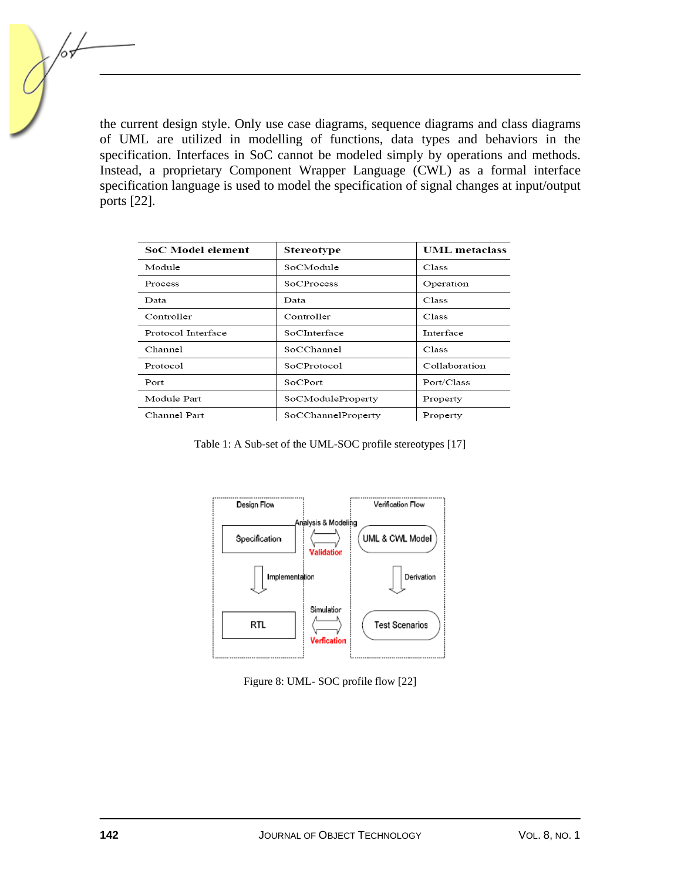the current design style. Only use case diagrams, sequence diagrams and class diagrams of UML are utilized in modelling of functions, data types and behaviors in the specification. Interfaces in SoC cannot be modeled simply by operations and methods. Instead, a proprietary Component Wrapper Language (CWL) as a formal interface specification language is used to model the specification of signal changes at input/output ports [22].

| SoC Model element  | Stereotype         | <b>UML</b> metaclass |
|--------------------|--------------------|----------------------|
| Module             | SoCModule          | Class                |
| Process            | <b>SoCProcess</b>  | Operation            |
| Data               | Data               | Class                |
| Controller         | Controller         | Class                |
| Protocol Interface | SoCInterface       | <b>Interface</b>     |
| Channel            | SoCChannel         | Class                |
| Protocol           | SoCProtocol        | Collaboration        |
| Port               | SoCPort            | Port/Class           |
| Module Part        | SoCModuleProperty  | Property             |
| Channel Part       | SoCChannelProperty | Property             |

Table 1: A Sub-set of the UML-SOC profile stereotypes [17]



Figure 8: UML- SOC profile flow [22]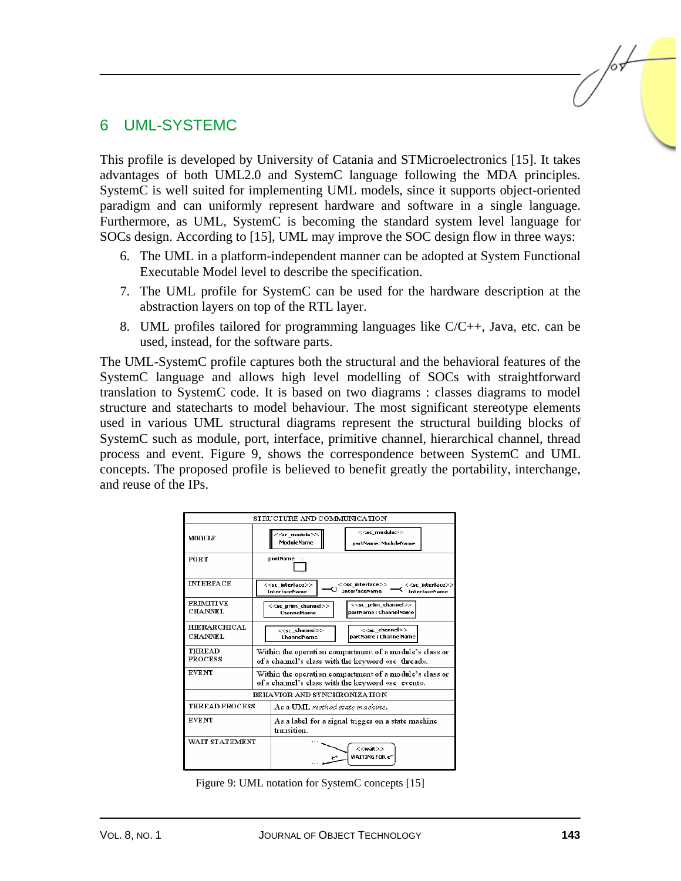## 6 UML-SYSTEMC

This profile is developed by University of Catania and STMicroelectronics [15]. It takes advantages of both UML2.0 and SystemC language following the MDA principles. SystemC is well suited for implementing UML models, since it supports object-oriented paradigm and can uniformly represent hardware and software in a single language. Furthermore, as UML, SystemC is becoming the standard system level language for SOCs design. According to [15], UML may improve the SOC design flow in three ways:

- 6. The UML in a platform-independent manner can be adopted at System Functional Executable Model level to describe the specification.
- 7. The UML profile for SystemC can be used for the hardware description at the abstraction layers on top of the RTL layer.
- 8. UML profiles tailored for programming languages like  $C/C_{++}$ , Java, etc. can be used, instead, for the software parts.

The UML-SystemC profile captures both the structural and the behavioral features of the SystemC language and allows high level modelling of SOCs with straightforward translation to SystemC code. It is based on two diagrams : classes diagrams to model structure and statecharts to model behaviour. The most significant stereotype elements used in various UML structural diagrams represent the structural building blocks of SystemC such as module, port, interface, primitive channel, hierarchical channel, thread process and event. Figure 9, shows the correspondence between SystemC and UML concepts. The proposed profile is believed to benefit greatly the portability, interchange, and reuse of the IPs.



Figure 9: UML notation for SystemC concepts [15]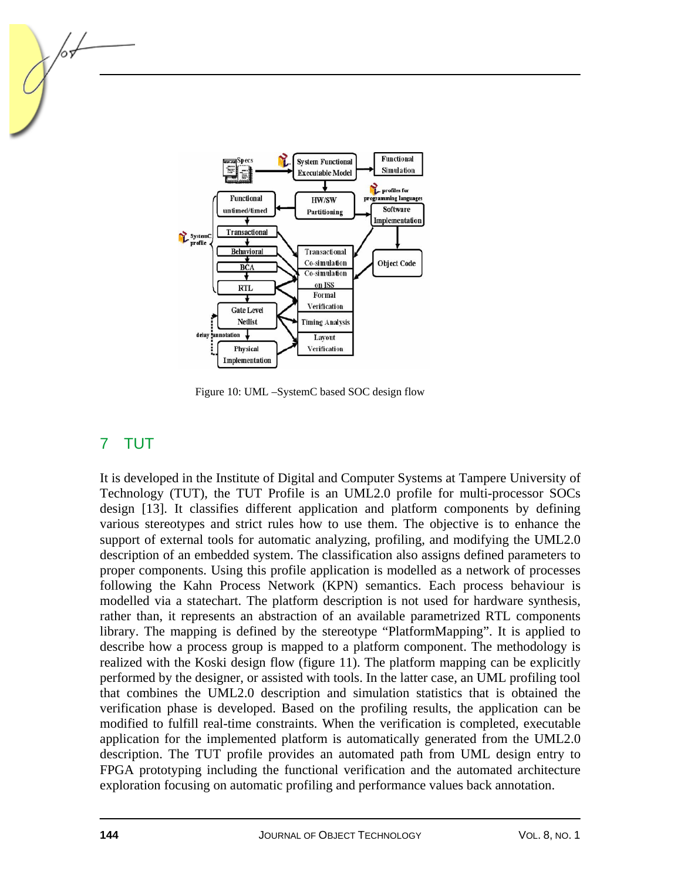

Figure 10: UML –SystemC based SOC design flow

## 7 TUT

It is developed in the Institute of Digital and Computer Systems at Tampere University of Technology (TUT), the TUT Profile is an UML2.0 profile for multi-processor SOCs design [13]. It classifies different application and platform components by defining various stereotypes and strict rules how to use them. The objective is to enhance the support of external tools for automatic analyzing, profiling, and modifying the UML2.0 description of an embedded system. The classification also assigns defined parameters to proper components. Using this profile application is modelled as a network of processes following the Kahn Process Network (KPN) semantics. Each process behaviour is modelled via a statechart. The platform description is not used for hardware synthesis, rather than, it represents an abstraction of an available parametrized RTL components library. The mapping is defined by the stereotype "PlatformMapping". It is applied to describe how a process group is mapped to a platform component. The methodology is realized with the Koski design flow (figure 11). The platform mapping can be explicitly performed by the designer, or assisted with tools. In the latter case, an UML profiling tool that combines the UML2.0 description and simulation statistics that is obtained the verification phase is developed. Based on the profiling results, the application can be modified to fulfill real-time constraints. When the verification is completed, executable application for the implemented platform is automatically generated from the UML2.0 description. The TUT profile provides an automated path from UML design entry to FPGA prototyping including the functional verification and the automated architecture exploration focusing on automatic profiling and performance values back annotation.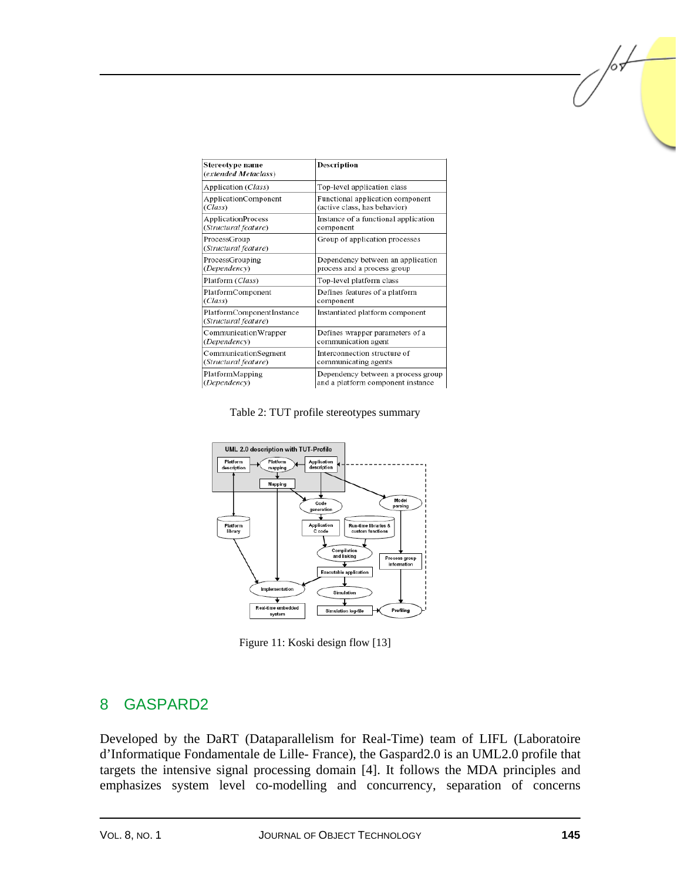| Stereotype name<br>(extended Metaclass)           | Description                          |
|---------------------------------------------------|--------------------------------------|
| Application (Class)                               | Top-level application class          |
| ApplicationComponent                              | Functional application component     |
| (Class)                                           | (active class, has behavior)         |
| <b>ApplicationProcess</b>                         | Instance of a functional application |
| (Structural feature)                              | component                            |
| ProcessGroup<br>(Structural feature)              | Group of application processes       |
| ProcessGrouping                                   | Dependency between an application    |
| (Dependency)                                      | process and a process group          |
| Platform (Class)                                  | Top-level platform class             |
| PlatformComponent                                 | Defines features of a platform       |
| (Class)                                           | component                            |
| PlatformComponentInstance<br>(Structural feature) | Instantiated platform component      |
| Communication Wrapper                             | Defines wrapper parameters of a      |
| (Dependency)                                      | communication agent                  |
| CommunicationSegment                              | Interconnection structure of         |
| (Structural feature)                              | communicating agents                 |
| PlatformMapping                                   | Dependency between a process group   |
| (Dependency)                                      | and a platform component instance    |

Table 2: TUT profile stereotypes summary



Figure 11: Koski design flow [13]

## 8 GASPARD2

Developed by the DaRT (Dataparallelism for Real-Time) team of LIFL (Laboratoire d'Informatique Fondamentale de Lille- France), the Gaspard2.0 is an UML2.0 profile that targets the intensive signal processing domain [4]. It follows the MDA principles and emphasizes system level co-modelling and concurrency, separation of concerns /or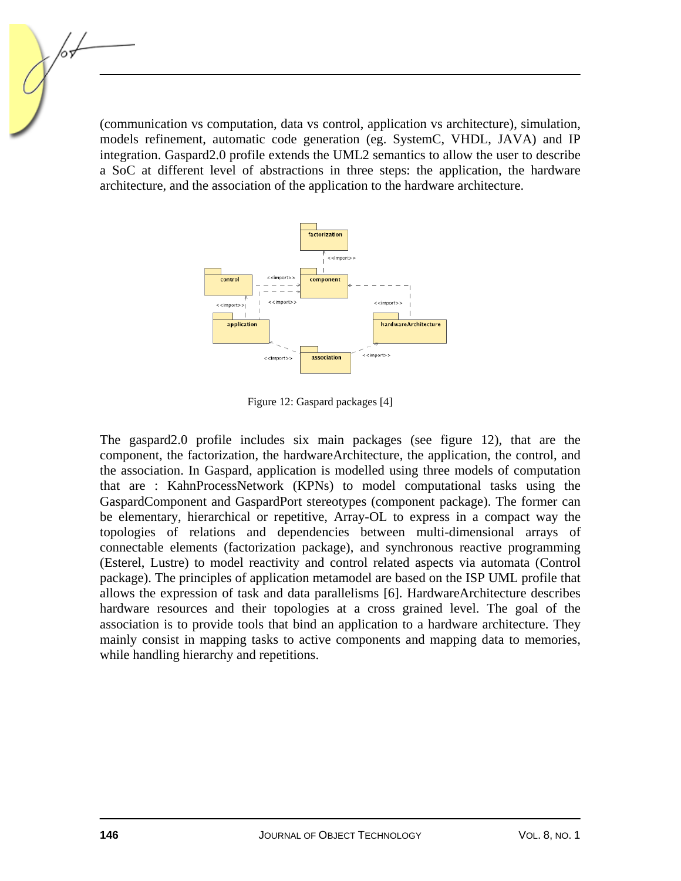(communication vs computation, data vs control, application vs architecture), simulation, models refinement, automatic code generation (eg. SystemC, VHDL, JAVA) and IP integration. Gaspard2.0 profile extends the UML2 semantics to allow the user to describe a SoC at different level of abstractions in three steps: the application, the hardware architecture, and the association of the application to the hardware architecture.



Figure 12: Gaspard packages [4]

The gaspard2.0 profile includes six main packages (see figure 12), that are the component, the factorization, the hardwareArchitecture, the application, the control, and the association. In Gaspard, application is modelled using three models of computation that are : KahnProcessNetwork (KPNs) to model computational tasks using the GaspardComponent and GaspardPort stereotypes (component package). The former can be elementary, hierarchical or repetitive, Array-OL to express in a compact way the topologies of relations and dependencies between multi-dimensional arrays of connectable elements (factorization package), and synchronous reactive programming (Esterel, Lustre) to model reactivity and control related aspects via automata (Control package). The principles of application metamodel are based on the ISP UML profile that allows the expression of task and data parallelisms [6]. HardwareArchitecture describes hardware resources and their topologies at a cross grained level. The goal of the association is to provide tools that bind an application to a hardware architecture. They mainly consist in mapping tasks to active components and mapping data to memories, while handling hierarchy and repetitions.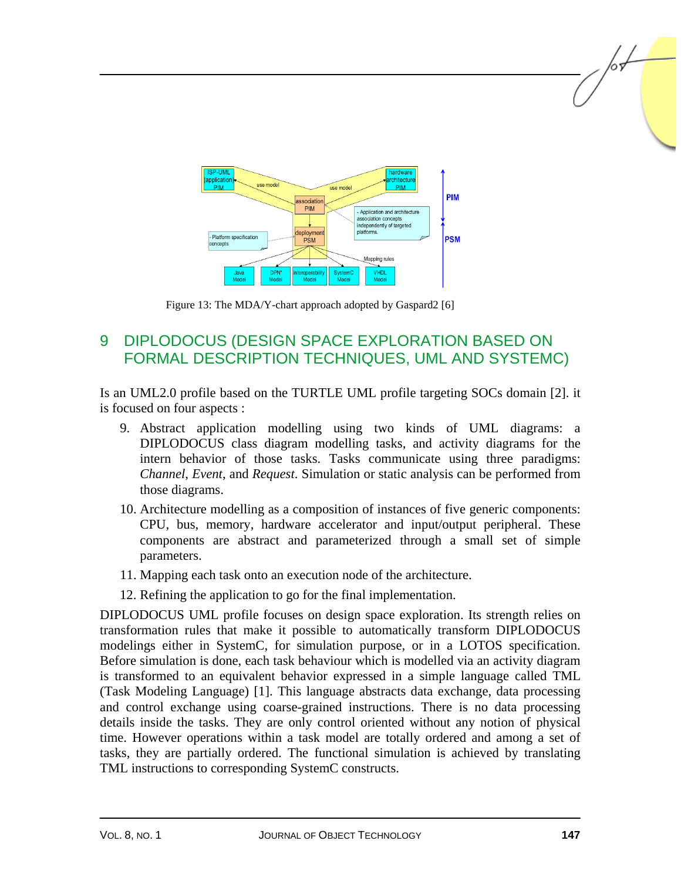

Figure 13: The MDA/Y-chart approach adopted by Gaspard2 [6]

## 9 DIPLODOCUS (DESIGN SPACE EXPLORATION BASED ON FORMAL DESCRIPTION TECHNIQUES, UML AND SYSTEMC)

Is an UML2.0 profile based on the TURTLE UML profile targeting SOCs domain [2]. it is focused on four aspects :

- 9. Abstract application modelling using two kinds of UML diagrams: a DIPLODOCUS class diagram modelling tasks, and activity diagrams for the intern behavior of those tasks. Tasks communicate using three paradigms: *Channel*, *Event*, and *Request*. Simulation or static analysis can be performed from those diagrams.
- 10. Architecture modelling as a composition of instances of five generic components: CPU, bus, memory, hardware accelerator and input/output peripheral. These components are abstract and parameterized through a small set of simple parameters.
- 11. Mapping each task onto an execution node of the architecture.
- 12. Refining the application to go for the final implementation.

DIPLODOCUS UML profile focuses on design space exploration. Its strength relies on transformation rules that make it possible to automatically transform DIPLODOCUS modelings either in SystemC, for simulation purpose, or in a LOTOS specification. Before simulation is done, each task behaviour which is modelled via an activity diagram is transformed to an equivalent behavior expressed in a simple language called TML (Task Modeling Language) [1]. This language abstracts data exchange, data processing and control exchange using coarse-grained instructions. There is no data processing details inside the tasks. They are only control oriented without any notion of physical time. However operations within a task model are totally ordered and among a set of tasks, they are partially ordered. The functional simulation is achieved by translating TML instructions to corresponding SystemC constructs.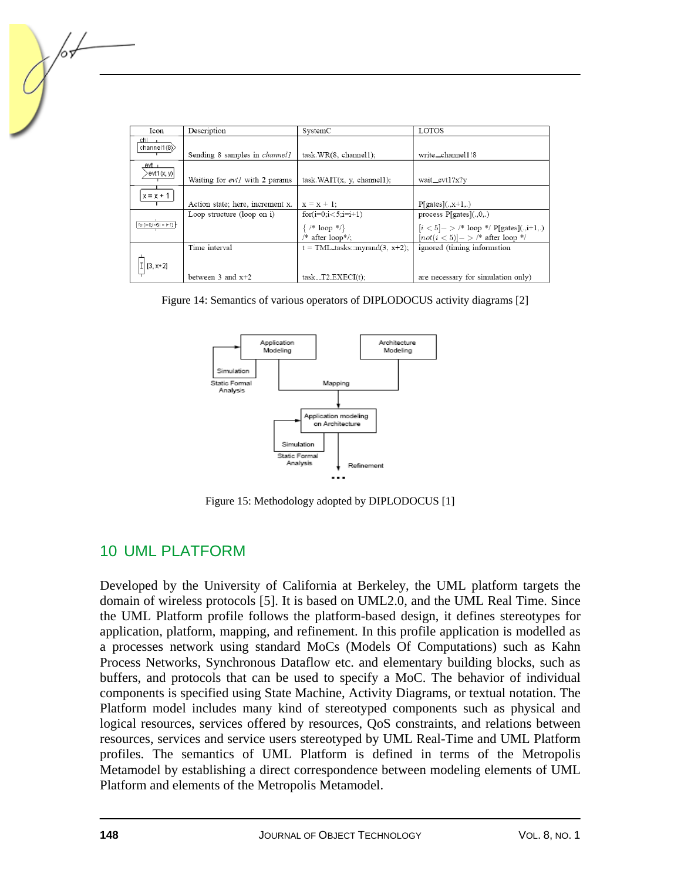| Icon                                    | Description                            | SystemC                                                              | <b>LOTOS</b>                                                                                                          |
|-----------------------------------------|----------------------------------------|----------------------------------------------------------------------|-----------------------------------------------------------------------------------------------------------------------|
| chl –<br>channel1(8) $>$                | Sending 8 samples in <i>channel 1</i>  | task.WR(8, channel1);                                                | write_channel1!8                                                                                                      |
| _evt_<br>>evt1(x, y)                    | Waiting for <i>evt1</i> with 2 params  | task.WAIT(x, y, channel1);                                           | wait_evt1?x?y                                                                                                         |
| $x = x + 1$                             | Action state; here, increment x.       | $x = x + 1$ ;                                                        | $P[$ gates $] (., x+1,.)$                                                                                             |
| $\lceil$ for(i=0;i <5;i = i+1) $\lceil$ | Loop structure (loop on $i$ )          | for $(i=0; i < 5; i=i+1)$<br>$\{$ /* loop */}<br>$/*$ after loop*/;  | process $P[{\text{gates}}](.,0,.)$<br>$[i < 5] -$ > /* loop */ P[gates](.,i+1,.)<br>$ not(i < 5) ->$ /* after loop */ |
| $1$ [3, x+2]                            | Time interval<br>between $3$ and $x+2$ | $t = \text{TML-tasks}:\text{myrand}(3, x+2);$<br>$task_T2.EXECI(t);$ | ignored (timing information<br>are necessary for simulation only)                                                     |

Figure 14: Semantics of various operators of DIPLODOCUS activity diagrams [2]



Figure 15: Methodology adopted by DIPLODOCUS [1]

## 10 UML PLATFORM

Developed by the University of California at Berkeley, the UML platform targets the domain of wireless protocols [5]. It is based on UML2.0, and the UML Real Time. Since the UML Platform profile follows the platform-based design, it defines stereotypes for application, platform, mapping, and refinement. In this profile application is modelled as a processes network using standard MoCs (Models Of Computations) such as Kahn Process Networks, Synchronous Dataflow etc. and elementary building blocks, such as buffers, and protocols that can be used to specify a MoC. The behavior of individual components is specified using State Machine, Activity Diagrams, or textual notation. The Platform model includes many kind of stereotyped components such as physical and logical resources, services offered by resources, QoS constraints, and relations between resources, services and service users stereotyped by UML Real-Time and UML Platform profiles. The semantics of UML Platform is defined in terms of the Metropolis Metamodel by establishing a direct correspondence between modeling elements of UML Platform and elements of the Metropolis Metamodel.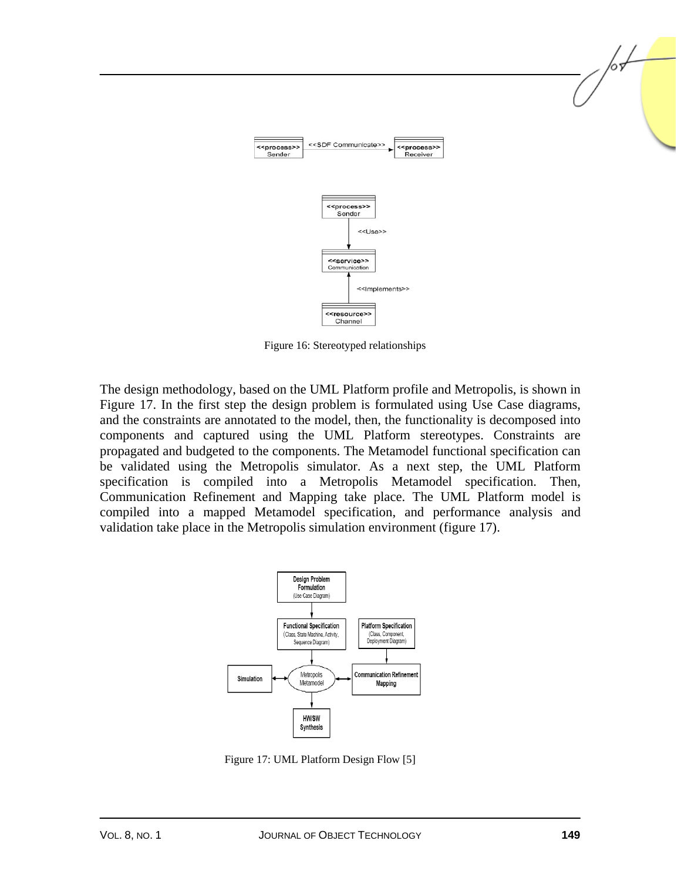

Figure 16: Stereotyped relationships

The design methodology, based on the UML Platform profile and Metropolis, is shown in Figure 17. In the first step the design problem is formulated using Use Case diagrams, and the constraints are annotated to the model, then, the functionality is decomposed into components and captured using the UML Platform stereotypes. Constraints are propagated and budgeted to the components. The Metamodel functional specification can be validated using the Metropolis simulator. As a next step, the UML Platform specification is compiled into a Metropolis Metamodel specification. Then, Communication Refinement and Mapping take place. The UML Platform model is compiled into a mapped Metamodel specification, and performance analysis and validation take place in the Metropolis simulation environment (figure 17).



Figure 17: UML Platform Design Flow [5]

/or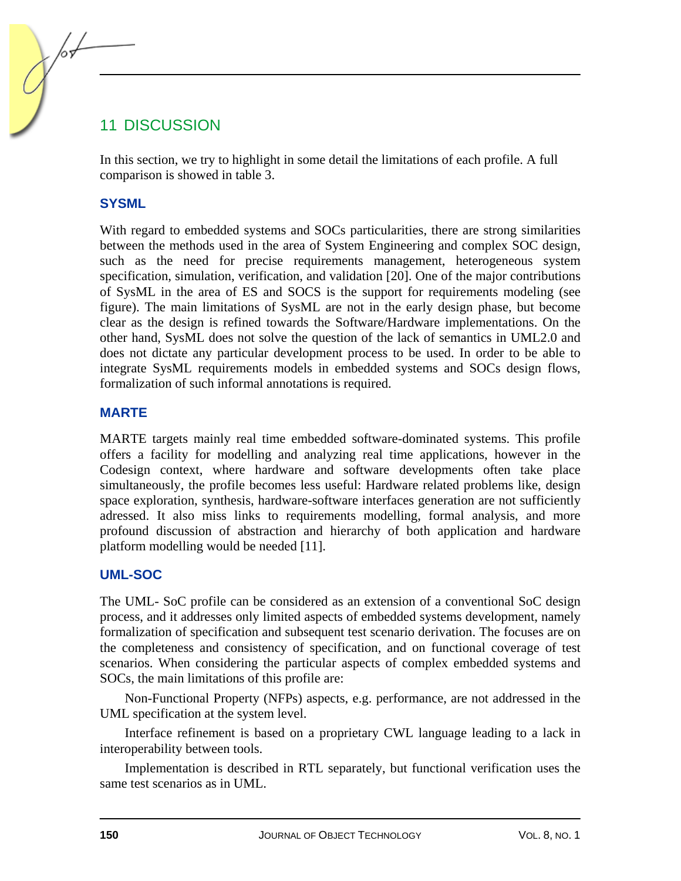## 11 DISCUSSION

In this section, we try to highlight in some detail the limitations of each profile. A full comparison is showed in table 3.

#### **SYSML**

With regard to embedded systems and SOCs particularities, there are strong similarities between the methods used in the area of System Engineering and complex SOC design, such as the need for precise requirements management, heterogeneous system specification, simulation, verification, and validation [20]. One of the major contributions of SysML in the area of ES and SOCS is the support for requirements modeling (see figure). The main limitations of SysML are not in the early design phase, but become clear as the design is refined towards the Software/Hardware implementations. On the other hand, SysML does not solve the question of the lack of semantics in UML2.0 and does not dictate any particular development process to be used. In order to be able to integrate SysML requirements models in embedded systems and SOCs design flows, formalization of such informal annotations is required.

#### **MARTE**

MARTE targets mainly real time embedded software-dominated systems. This profile offers a facility for modelling and analyzing real time applications, however in the Codesign context, where hardware and software developments often take place simultaneously, the profile becomes less useful: Hardware related problems like, design space exploration, synthesis, hardware-software interfaces generation are not sufficiently adressed. It also miss links to requirements modelling, formal analysis, and more profound discussion of abstraction and hierarchy of both application and hardware platform modelling would be needed [11].

#### **UML-SOC**

The UML- SoC profile can be considered as an extension of a conventional SoC design process, and it addresses only limited aspects of embedded systems development, namely formalization of specification and subsequent test scenario derivation. The focuses are on the completeness and consistency of specification, and on functional coverage of test scenarios. When considering the particular aspects of complex embedded systems and SOCs, the main limitations of this profile are:

Non-Functional Property (NFPs) aspects, e.g. performance, are not addressed in the UML specification at the system level.

Interface refinement is based on a proprietary CWL language leading to a lack in interoperability between tools.

Implementation is described in RTL separately, but functional verification uses the same test scenarios as in UML.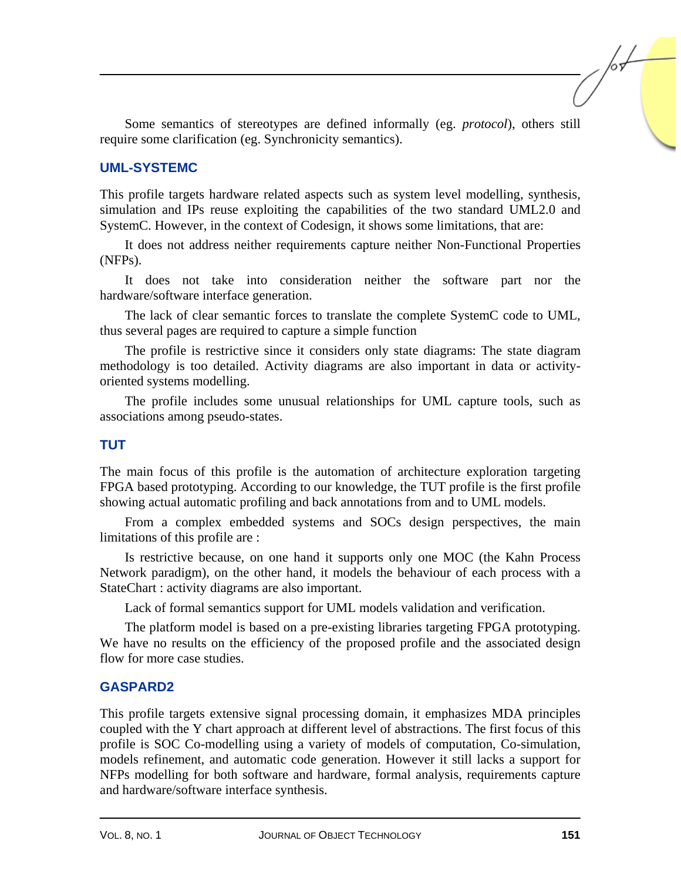Some semantics of stereotypes are defined informally (eg. *protocol*), others still require some clarification (eg. Synchronicity semantics).

#### **UML-SYSTEMC**

This profile targets hardware related aspects such as system level modelling, synthesis, simulation and IPs reuse exploiting the capabilities of the two standard UML2.0 and SystemC. However, in the context of Codesign, it shows some limitations, that are:

It does not address neither requirements capture neither Non-Functional Properties (NFPs).

It does not take into consideration neither the software part nor the hardware/software interface generation.

The lack of clear semantic forces to translate the complete SystemC code to UML, thus several pages are required to capture a simple function

The profile is restrictive since it considers only state diagrams: The state diagram methodology is too detailed. Activity diagrams are also important in data or activityoriented systems modelling.

The profile includes some unusual relationships for UML capture tools, such as associations among pseudo-states.

#### **TUT**

The main focus of this profile is the automation of architecture exploration targeting FPGA based prototyping. According to our knowledge, the TUT profile is the first profile showing actual automatic profiling and back annotations from and to UML models.

From a complex embedded systems and SOCs design perspectives, the main limitations of this profile are :

Is restrictive because, on one hand it supports only one MOC (the Kahn Process Network paradigm), on the other hand, it models the behaviour of each process with a StateChart : activity diagrams are also important.

Lack of formal semantics support for UML models validation and verification.

The platform model is based on a pre-existing libraries targeting FPGA prototyping. We have no results on the efficiency of the proposed profile and the associated design flow for more case studies.

#### **GASPARD2**

This profile targets extensive signal processing domain, it emphasizes MDA principles coupled with the Y chart approach at different level of abstractions. The first focus of this profile is SOC Co-modelling using a variety of models of computation, Co-simulation, models refinement, and automatic code generation. However it still lacks a support for NFPs modelling for both software and hardware, formal analysis, requirements capture and hardware/software interface synthesis.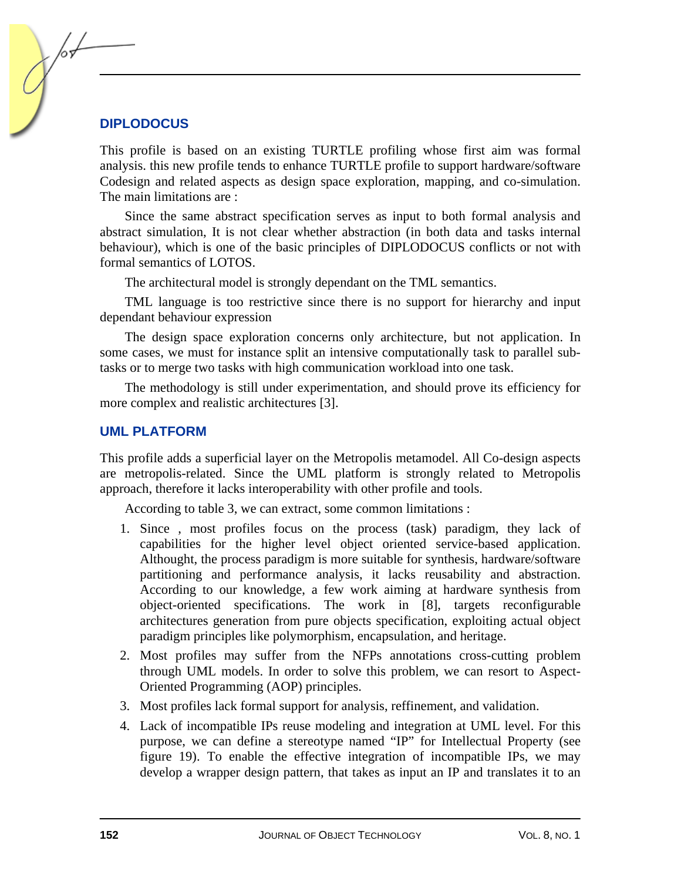#### **DIPLODOCUS**

This profile is based on an existing TURTLE profiling whose first aim was formal analysis. this new profile tends to enhance TURTLE profile to support hardware/software Codesign and related aspects as design space exploration, mapping, and co-simulation. The main limitations are :

Since the same abstract specification serves as input to both formal analysis and abstract simulation, It is not clear whether abstraction (in both data and tasks internal behaviour), which is one of the basic principles of DIPLODOCUS conflicts or not with formal semantics of LOTOS.

The architectural model is strongly dependant on the TML semantics.

TML language is too restrictive since there is no support for hierarchy and input dependant behaviour expression

The design space exploration concerns only architecture, but not application. In some cases, we must for instance split an intensive computationally task to parallel subtasks or to merge two tasks with high communication workload into one task.

The methodology is still under experimentation, and should prove its efficiency for more complex and realistic architectures [3].

#### **UML PLATFORM**

This profile adds a superficial layer on the Metropolis metamodel. All Co-design aspects are metropolis-related. Since the UML platform is strongly related to Metropolis approach, therefore it lacks interoperability with other profile and tools.

According to table 3, we can extract, some common limitations :

- 1. Since , most profiles focus on the process (task) paradigm, they lack of capabilities for the higher level object oriented service-based application. Althought, the process paradigm is more suitable for synthesis, hardware/software partitioning and performance analysis, it lacks reusability and abstraction. According to our knowledge, a few work aiming at hardware synthesis from object-oriented specifications. The work in [8], targets reconfigurable architectures generation from pure objects specification, exploiting actual object paradigm principles like polymorphism, encapsulation, and heritage.
- 2. Most profiles may suffer from the NFPs annotations cross-cutting problem through UML models. In order to solve this problem, we can resort to Aspect-Oriented Programming (AOP) principles.
- 3. Most profiles lack formal support for analysis, reffinement, and validation.
- 4. Lack of incompatible IPs reuse modeling and integration at UML level. For this purpose, we can define a stereotype named "IP" for Intellectual Property (see figure 19). To enable the effective integration of incompatible IPs, we may develop a wrapper design pattern, that takes as input an IP and translates it to an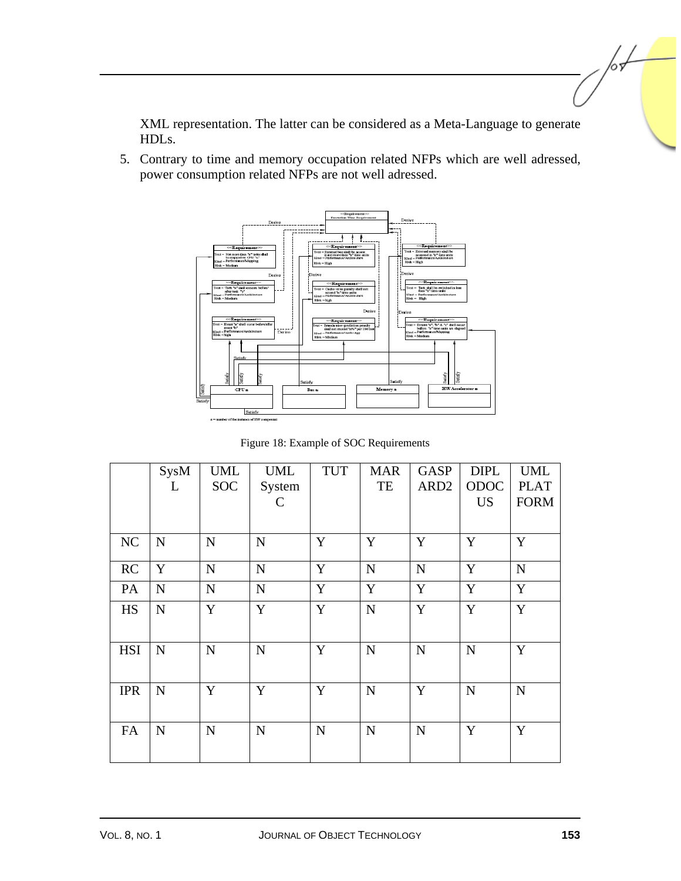XML representation. The latter can be considered as a Meta-Language to generate HDLs.

5. Contrary to time and memory occupation related NFPs which are well adressed, power consumption related NFPs are not well adressed.



Figure 18: Example of SOC Requirements

|            | SysM<br>L   | <b>UML</b><br><b>SOC</b> | <b>UML</b><br>System | <b>TUT</b> | <b>MAR</b><br>TE | <b>GASP</b><br>ARD <sub>2</sub> | <b>DIPL</b><br>ODOC | <b>UML</b><br><b>PLAT</b> |
|------------|-------------|--------------------------|----------------------|------------|------------------|---------------------------------|---------------------|---------------------------|
|            |             |                          | $\mathsf{C}$         |            |                  |                                 | <b>US</b>           | <b>FORM</b>               |
| NC         | N           | $\mathbf N$              | $\mathbf N$          | Y          | Y                | Y                               | $\mathbf Y$         | Y                         |
| RC         | Y           | $\mathbf N$              | N                    | Y          | ${\bf N}$        | $\mathbf N$                     | Y                   | ${\bf N}$                 |
| PA         | ${\bf N}$   | ${\bf N}$                | $\mathbf N$          | Y          | Y                | Y                               | $\mathbf Y$         | $\mathbf Y$               |
| <b>HS</b>  | ${\bf N}$   | Y                        | Y                    | Y          | $\mathbf N$      | Y                               | Y                   | $\mathbf Y$               |
| <b>HSI</b> | ${\bf N}$   | $\mathbf N$              | N                    | Y          | $\mathbf N$      | $\mathbf N$                     | $\mathbf N$         | Y                         |
| <b>IPR</b> | $\mathbf N$ | Y                        | Y                    | Y          | $\mathbf N$      | Y                               | $\mathbf N$         | N                         |
| FA         | $\mathbf N$ | $\mathbf N$              | N                    | N          | $\mathbf N$      | $\mathbf N$                     | Y                   | Y                         |

 $\sqrt{\frac{1}{2}}$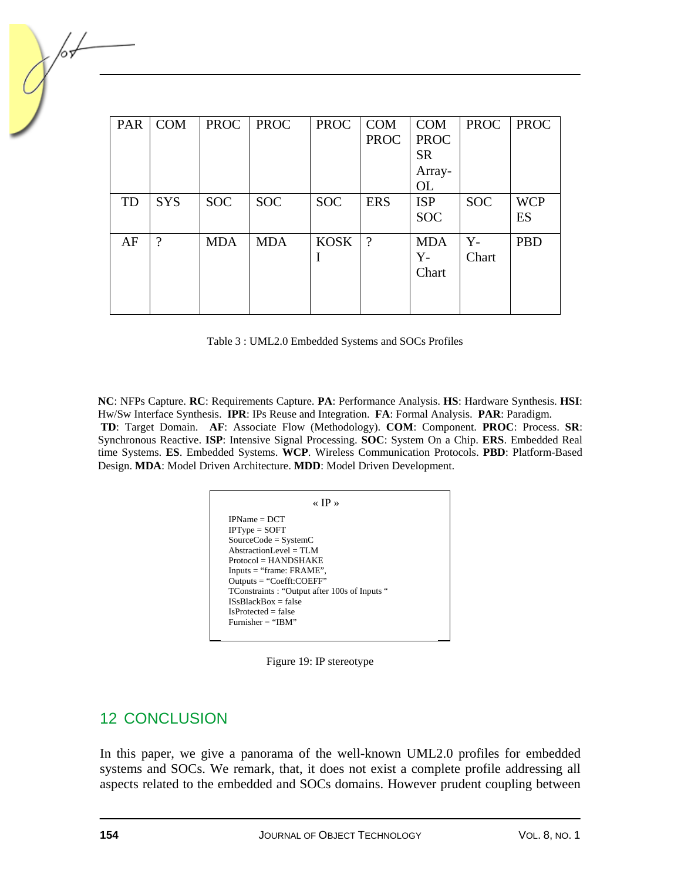| <b>PAR</b> | <b>COM</b>         | <b>PROC</b> | <b>PROC</b> | <b>PROC</b> | <b>COM</b>  | <b>COM</b>  | <b>PROC</b> | <b>PROC</b> |
|------------|--------------------|-------------|-------------|-------------|-------------|-------------|-------------|-------------|
|            |                    |             |             |             | <b>PROC</b> | <b>PROC</b> |             |             |
|            |                    |             |             |             |             | <b>SR</b>   |             |             |
|            |                    |             |             |             |             | Array-      |             |             |
|            |                    |             |             |             |             | <b>OL</b>   |             |             |
| TD         | <b>SYS</b>         | <b>SOC</b>  | <b>SOC</b>  | <b>SOC</b>  | <b>ERS</b>  | <b>ISP</b>  | <b>SOC</b>  | <b>WCP</b>  |
|            |                    |             |             |             |             | <b>SOC</b>  |             | ES          |
| AF         | $\overline{\cdot}$ | <b>MDA</b>  | <b>MDA</b>  | <b>KOSK</b> | $\gamma$    | <b>MDA</b>  | $Y -$       | <b>PBD</b>  |
|            |                    |             |             | I           |             | $Y -$       | Chart       |             |
|            |                    |             |             |             |             | Chart       |             |             |
|            |                    |             |             |             |             |             |             |             |
|            |                    |             |             |             |             |             |             |             |

| Table 3: UML2.0 Embedded Systems and SOCs Profiles |  |
|----------------------------------------------------|--|
|----------------------------------------------------|--|

**NC**: NFPs Capture. **RC**: Requirements Capture. **PA**: Performance Analysis. **HS**: Hardware Synthesis. **HSI**: Hw/Sw Interface Synthesis. **IPR**: IPs Reuse and Integration. **FA**: Formal Analysis. **PAR**: Paradigm. **TD**: Target Domain. **AF**: Associate Flow (Methodology). **COM**: Component. **PROC**: Process. **SR**: Synchronous Reactive. **ISP**: Intensive Signal Processing. **SOC**: System On a Chip. **ERS**. Embedded Real time Systems. **ES**. Embedded Systems. **WCP**. Wireless Communication Protocols. **PBD**: Platform-Based Design. **MDA**: Model Driven Architecture. **MDD**: Model Driven Development.

| $IPName = DCT$                              |  |
|---------------------------------------------|--|
| $IPType = SOFT$                             |  |
| $SourceCode = SystemC$                      |  |
| AbstractionLevel = $TLM$                    |  |
| $Protocol = HANDSHAKE$                      |  |
| $InputStream: FRAME$ ",                     |  |
| $Outputs = "Coeff:COEFF"$                   |  |
| TConstraints: "Output after 100s of Inputs" |  |
| $ISsBlackBox = false$                       |  |
| $IsProtocol = false$                        |  |
| Furnisher $=$ "IBM"                         |  |

Figure 19: IP stereotype

## 12 CONCLUSION

In this paper, we give a panorama of the well-known UML2.0 profiles for embedded systems and SOCs. We remark, that, it does not exist a complete profile addressing all aspects related to the embedded and SOCs domains. However prudent coupling between

/05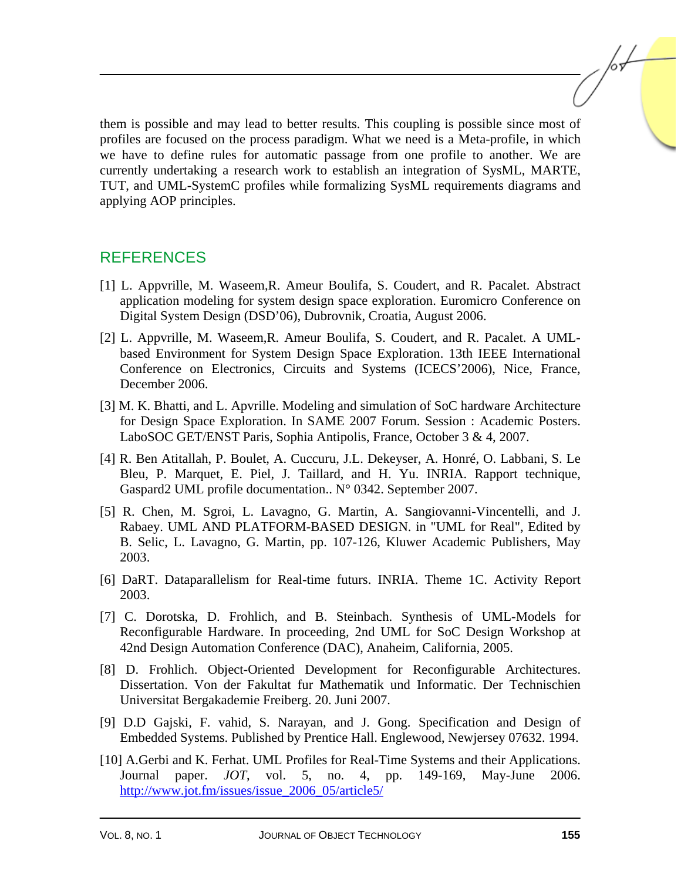them is possible and may lead to better results. This coupling is possible since most of profiles are focused on the process paradigm. What we need is a Meta-profile, in which we have to define rules for automatic passage from one profile to another. We are currently undertaking a research work to establish an integration of SysML, MARTE, TUT, and UML-SystemC profiles while formalizing SysML requirements diagrams and applying AOP principles.

## **REFERENCES**

- [1] L. Appvrille, M. Waseem,R. Ameur Boulifa, S. Coudert, and R. Pacalet. Abstract application modeling for system design space exploration. Euromicro Conference on Digital System Design (DSD'06), Dubrovnik, Croatia, August 2006.
- [2] L. Appvrille, M. Waseem,R. Ameur Boulifa, S. Coudert, and R. Pacalet. A UMLbased Environment for System Design Space Exploration. 13th IEEE International Conference on Electronics, Circuits and Systems (ICECS'2006), Nice, France, December 2006.
- [3] M. K. Bhatti, and L. Apvrille. Modeling and simulation of SoC hardware Architecture for Design Space Exploration. In SAME 2007 Forum. Session : Academic Posters. LaboSOC GET/ENST Paris, Sophia Antipolis, France, October 3 & 4, 2007.
- [4] R. Ben Atitallah, P. Boulet, A. Cuccuru, J.L. Dekeyser, A. Honré, O. Labbani, S. Le Bleu, P. Marquet, E. Piel, J. Taillard, and H. Yu. INRIA. Rapport technique, Gaspard2 UML profile documentation.. N° 0342. September 2007.
- [5] R. Chen, M. Sgroi, L. Lavagno, G. Martin, A. Sangiovanni-Vincentelli, and J. Rabaey. UML AND PLATFORM-BASED DESIGN. in "UML for Real", Edited by B. Selic, L. Lavagno, G. Martin, pp. 107-126, Kluwer Academic Publishers, May 2003.
- [6] DaRT. Dataparallelism for Real-time futurs. INRIA. Theme 1C. Activity Report 2003.
- [7] C. Dorotska, D. Frohlich, and B. Steinbach. Synthesis of UML-Models for Reconfigurable Hardware. In proceeding, 2nd UML for SoC Design Workshop at 42nd Design Automation Conference (DAC), Anaheim, California, 2005.
- [8] D. Frohlich. Object-Oriented Development for Reconfigurable Architectures. Dissertation. Von der Fakultat fur Mathematik und Informatic. Der Technischien Universitat Bergakademie Freiberg. 20. Juni 2007.
- [9] D.D Gajski, F. vahid, S. Narayan, and J. Gong. Specification and Design of Embedded Systems. Published by Prentice Hall. Englewood, Newjersey 07632. 1994.
- [10] A.Gerbi and K. Ferhat. UML Profiles for Real-Time Systems and their Applications. Journal paper. *JOT*, vol. 5, no. 4, pp. 149-169, May-June 2006. http://www.jot.fm/issues/issue\_2006\_05/article5/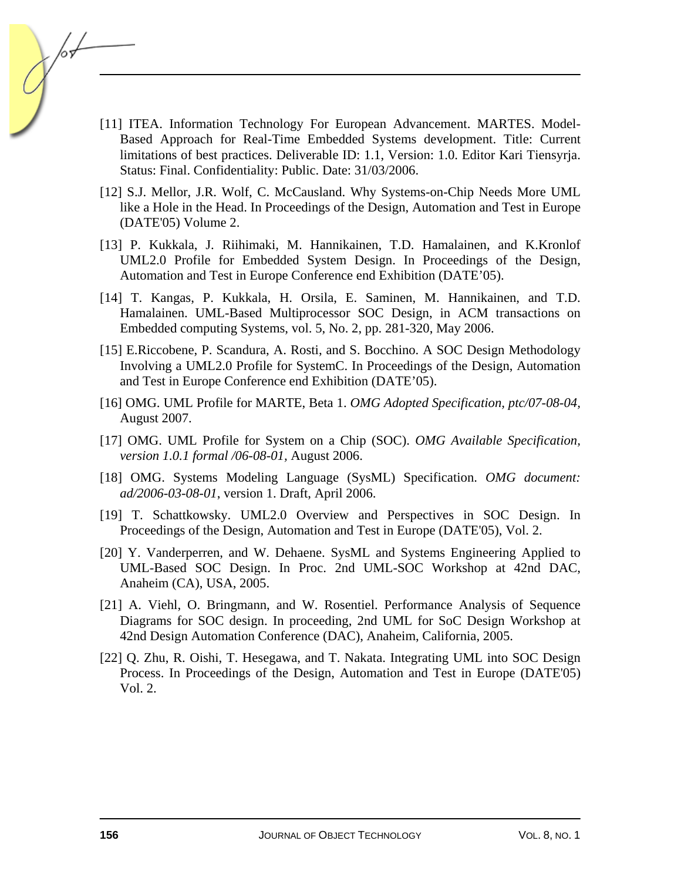- [11] ITEA. Information Technology For European Advancement. MARTES. Model-Based Approach for Real-Time Embedded Systems development. Title: Current limitations of best practices. Deliverable ID: 1.1, Version: 1.0. Editor Kari Tiensyrja. Status: Final. Confidentiality: Public. Date: 31/03/2006.
- [12] S.J. Mellor, J.R. Wolf, C. McCausland. Why Systems-on-Chip Needs More UML like a Hole in the Head. In Proceedings of the Design, Automation and Test in Europe (DATE'05) Volume 2.
- [13] P. Kukkala, J. Riihimaki, M. Hannikainen, T.D. Hamalainen, and K.Kronlof UML2.0 Profile for Embedded System Design. In Proceedings of the Design, Automation and Test in Europe Conference end Exhibition (DATE'05).
- [14] T. Kangas, P. Kukkala, H. Orsila, E. Saminen, M. Hannikainen, and T.D. Hamalainen. UML-Based Multiprocessor SOC Design, in ACM transactions on Embedded computing Systems, vol. 5, No. 2, pp. 281-320, May 2006.
- [15] E.Riccobene, P. Scandura, A. Rosti, and S. Bocchino. A SOC Design Methodology Involving a UML2.0 Profile for SystemC. In Proceedings of the Design, Automation and Test in Europe Conference end Exhibition (DATE'05).
- [16] OMG. UML Profile for MARTE, Beta 1. *OMG Adopted Specification, ptc/07-08-04,*  August 2007.
- [17] OMG. UML Profile for System on a Chip (SOC). *OMG Available Specification, version 1.0.1 formal /06-08-01,* August 2006.
- [18] OMG. Systems Modeling Language (SysML) Specification. *OMG document: ad/2006-03-08-01*, version 1. Draft, April 2006.
- [19] T. Schattkowsky. UML2.0 Overview and Perspectives in SOC Design. In Proceedings of the Design, Automation and Test in Europe (DATE'05), Vol. 2.
- [20] Y. Vanderperren, and W. Dehaene. SysML and Systems Engineering Applied to UML-Based SOC Design. In Proc. 2nd UML-SOC Workshop at 42nd DAC, Anaheim (CA), USA, 2005.
- [21] A. Viehl, O. Bringmann, and W. Rosentiel. Performance Analysis of Sequence Diagrams for SOC design. In proceeding, 2nd UML for SoC Design Workshop at 42nd Design Automation Conference (DAC), Anaheim, California, 2005.
- [22] Q. Zhu, R. Oishi, T. Hesegawa, and T. Nakata. Integrating UML into SOC Design Process. In Proceedings of the Design, Automation and Test in Europe (DATE'05) Vol. 2.

/or